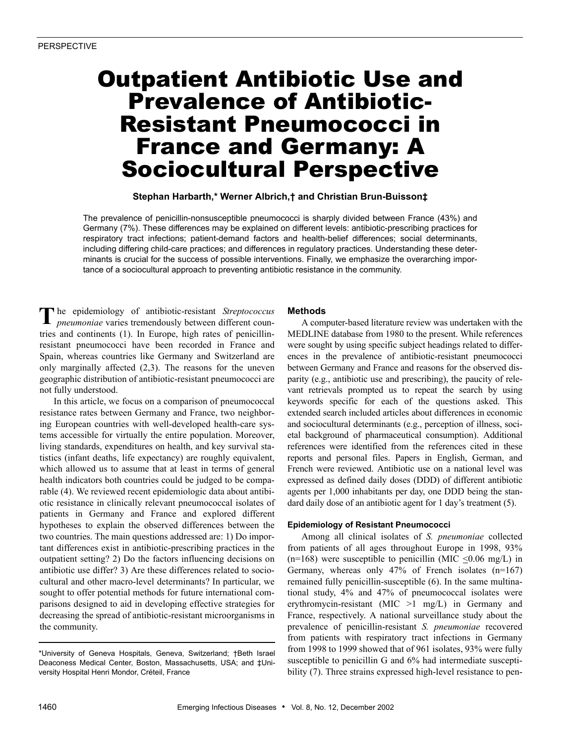# Outpatient Antibiotic Use and Prevalence of Antibiotic-Resistant Pneumococci in France and Germany: A Sociocultural Perspective

# **Stephan Harbarth,\* Werner Albrich,† and Christian Brun-Buisson‡**

The prevalence of penicillin-nonsusceptible pneumococci is sharply divided between France (43%) and Germany (7%). These differences may be explained on different levels: antibiotic-prescribing practices for respiratory tract infections; patient-demand factors and health-belief differences; social determinants, including differing child-care practices; and differences in regulatory practices. Understanding these determinants is crucial for the success of possible interventions. Finally, we emphasize the overarching importance of a sociocultural approach to preventing antibiotic resistance in the community.

The epidemiology of antibiotic-resistant *Streptococcus* pneumoniae varies tremendously between different coun*pneumoniae* varies tremendously between different countries and continents (1). In Europe, high rates of penicillinresistant pneumococci have been recorded in France and Spain, whereas countries like Germany and Switzerland are only marginally affected (2,3). The reasons for the uneven geographic distribution of antibiotic-resistant pneumococci are not fully understood.

In this article, we focus on a comparison of pneumococcal resistance rates between Germany and France, two neighboring European countries with well-developed health-care systems accessible for virtually the entire population. Moreover, living standards, expenditures on health, and key survival statistics (infant deaths, life expectancy) are roughly equivalent, which allowed us to assume that at least in terms of general health indicators both countries could be judged to be comparable (4). We reviewed recent epidemiologic data about antibiotic resistance in clinically relevant pneumococcal isolates of patients in Germany and France and explored different hypotheses to explain the observed differences between the two countries. The main questions addressed are: 1) Do important differences exist in antibiotic-prescribing practices in the outpatient setting? 2) Do the factors influencing decisions on antibiotic use differ? 3) Are these differences related to sociocultural and other macro-level determinants? In particular, we sought to offer potential methods for future international comparisons designed to aid in developing effective strategies for decreasing the spread of antibiotic-resistant microorganisms in the community.

## **Methods**

A computer-based literature review was undertaken with the MEDLINE database from 1980 to the present. While references were sought by using specific subject headings related to differences in the prevalence of antibiotic-resistant pneumococci between Germany and France and reasons for the observed disparity (e.g., antibiotic use and prescribing), the paucity of relevant retrievals prompted us to repeat the search by using keywords specific for each of the questions asked. This extended search included articles about differences in economic and sociocultural determinants (e.g., perception of illness, societal background of pharmaceutical consumption). Additional references were identified from the references cited in these reports and personal files. Papers in English, German, and French were reviewed. Antibiotic use on a national level was expressed as defined daily doses (DDD) of different antibiotic agents per 1,000 inhabitants per day, one DDD being the standard daily dose of an antibiotic agent for 1 day's treatment (5).

## **Epidemiology of Resistant Pneumococci**

Among all clinical isolates of *S. pneumoniae* collected from patients of all ages throughout Europe in 1998, 93%  $(n=168)$  were susceptible to penicillin (MIC < 0.06 mg/L) in Germany, whereas only 47% of French isolates (n=167) remained fully penicillin-susceptible (6). In the same multinational study, 4% and 47% of pneumococcal isolates were erythromycin-resistant (MIC >1 mg/L) in Germany and France, respectively. A national surveillance study about the prevalence of penicillin-resistant *S. pneumoniae* recovered from patients with respiratory tract infections in Germany from 1998 to 1999 showed that of 961 isolates, 93% were fully susceptible to penicillin G and 6% had intermediate susceptibility (7). Three strains expressed high-level resistance to pen-

<sup>\*</sup>University of Geneva Hospitals, Geneva, Switzerland; †Beth Israel Deaconess Medical Center, Boston, Massachusetts, USA; and ‡University Hospital Henri Mondor, Créteil, France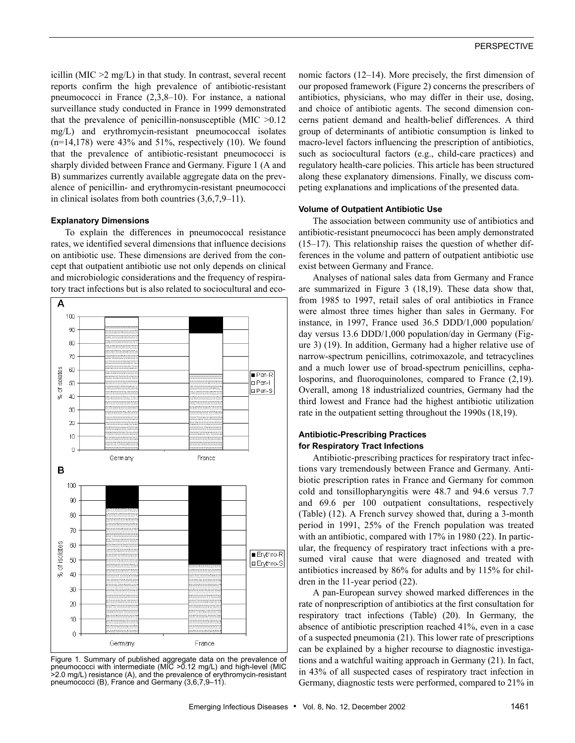icillin (MIC  $>2$  mg/L) in that study. In contrast, several recent reports confirm the high prevalence of antibiotic-resistant pneumococci in France (2,3,8–10). For instance, a national surveillance study conducted in France in 1999 demonstrated that the prevalence of penicillin-nonsusceptible (MIC  $>0.12$ ) mg/L) and erythromycin-resistant pneumococcal isolates  $(n=14,178)$  were 43% and 51%, respectively (10). We found that the prevalence of antibiotic-resistant pneumococci is sharply divided between France and Germany. Figure 1 (A and B) summarizes currently available aggregate data on the prevalence of penicillin- and erythromycin-resistant pneumococci in clinical isolates from both countries (3,6,7,9–11).

## **Explanatory Dimensions**

To explain the differences in pneumococcal resistance rates, we identified several dimensions that influence decisions on antibiotic use. These dimensions are derived from the concept that outpatient antibiotic use not only depends on clinical and microbiologic considerations and the frequency of respiratory tract infections but is also related to sociocultural and eco-



Figure 1. Summary of published aggregate data on the prevalence of pneumococci with intermediate (MIC >0.12 mg/L) and high-level (MIC >2.0 mg/L) resistance (A), and the prevalence of erythromycin-resistant pneumococci (B), France and Germany (3,6,7,9–11).

nomic factors (12–14). More precisely, the first dimension of our proposed framework (Figure 2) concerns the prescribers of antibiotics, physicians, who may differ in their use, dosing, and choice of antibiotic agents. The second dimension concerns patient demand and health-belief differences. A third group of determinants of antibiotic consumption is linked to macro-level factors influencing the prescription of antibiotics, such as sociocultural factors (e.g., child-care practices) and regulatory health-care policies. This article has been structured along these explanatory dimensions. Finally, we discuss competing explanations and implications of the presented data.

#### **Volume of Outpatient Antibiotic Use**

The association between community use of antibiotics and antibiotic-resistant pneumococci has been amply demonstrated (15–17). This relationship raises the question of whether differences in the volume and pattern of outpatient antibiotic use exist between Germany and France.

Analyses of national sales data from Germany and France are summarized in Figure 3 (18,19). These data show that, from 1985 to 1997, retail sales of oral antibiotics in France were almost three times higher than sales in Germany. For instance, in 1997, France used 36.5 DDD/1,000 population/ day versus 13.6 DDD/1,000 population/day in Germany (Figure 3) (19). In addition, Germany had a higher relative use of narrow-spectrum penicillins, cotrimoxazole, and tetracyclines and a much lower use of broad-spectrum penicillins, cephalosporins, and fluoroquinolones, compared to France (2,19). Overall, among 18 industrialized countries, Germany had the third lowest and France had the highest antibiotic utilization rate in the outpatient setting throughout the 1990s (18,19).

# **Antibiotic-Prescribing Practices for Respiratory Tract Infections**

Antibiotic-prescribing practices for respiratory tract infections vary tremendously between France and Germany. Antibiotic prescription rates in France and Germany for common cold and tonsillopharyngitis were 48.7 and 94.6 versus 7.7 and 69.6 per 100 outpatient consultations, respectively (Table) (12). A French survey showed that, during a 3-month period in 1991, 25% of the French population was treated with an antibiotic, compared with 17% in 1980 (22). In particular, the frequency of respiratory tract infections with a presumed viral cause that were diagnosed and treated with antibiotics increased by 86% for adults and by 115% for children in the 11-year period (22).

A pan-European survey showed marked differences in the rate of nonprescription of antibiotics at the first consultation for respiratory tract infections (Table) (20). In Germany, the absence of antibiotic prescription reached 41%, even in a case of a suspected pneumonia (21). This lower rate of prescriptions can be explained by a higher recourse to diagnostic investigations and a watchful waiting approach in Germany (21). In fact, in 43% of all suspected cases of respiratory tract infection in Germany, diagnostic tests were performed, compared to 21% in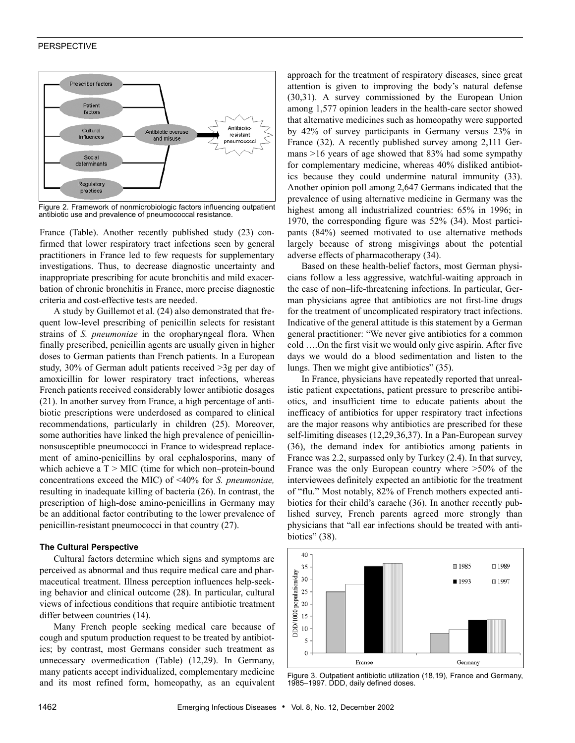

Figure 2. Framework of nonmicrobiologic factors influencing outpatient antibiotic use and prevalence of pneumococcal resistance.

France (Table). Another recently published study (23) confirmed that lower respiratory tract infections seen by general practitioners in France led to few requests for supplementary investigations. Thus, to decrease diagnostic uncertainty and inappropriate prescribing for acute bronchitis and mild exacerbation of chronic bronchitis in France, more precise diagnostic criteria and cost-effective tests are needed.

A study by Guillemot et al. (24) also demonstrated that frequent low-level prescribing of penicillin selects for resistant strains of *S. pneumoniae* in the oropharyngeal flora. When finally prescribed, penicillin agents are usually given in higher doses to German patients than French patients. In a European study, 30% of German adult patients received >3g per day of amoxicillin for lower respiratory tract infections, whereas French patients received considerably lower antibiotic dosages (21). In another survey from France, a high percentage of antibiotic prescriptions were underdosed as compared to clinical recommendations, particularly in children (25). Moreover, some authorities have linked the high prevalence of penicillinnonsusceptible pneumococci in France to widespread replacement of amino-penicillins by oral cephalosporins, many of which achieve a  $T >$  MIC (time for which non–protein-bound concentrations exceed the MIC) of <40% for *S. pneumoniae,* resulting in inadequate killing of bacteria (26). In contrast, the prescription of high-dose amino-penicillins in Germany may be an additional factor contributing to the lower prevalence of penicillin-resistant pneumococci in that country (27).

## **The Cultural Perspective**

Cultural factors determine which signs and symptoms are perceived as abnormal and thus require medical care and pharmaceutical treatment. Illness perception influences help-seeking behavior and clinical outcome (28). In particular, cultural views of infectious conditions that require antibiotic treatment differ between countries (14).

Many French people seeking medical care because of cough and sputum production request to be treated by antibiotics; by contrast, most Germans consider such treatment as unnecessary overmedication (Table) (12,29). In Germany, many patients accept individualized, complementary medicine and its most refined form, homeopathy, as an equivalent approach for the treatment of respiratory diseases, since great attention is given to improving the body's natural defense (30,31). A survey commissioned by the European Union among 1,577 opinion leaders in the health-care sector showed that alternative medicines such as homeopathy were supported by 42% of survey participants in Germany versus 23% in France (32). A recently published survey among 2,111 Germans >16 years of age showed that 83% had some sympathy for complementary medicine, whereas 40% disliked antibiotics because they could undermine natural immunity (33). Another opinion poll among 2,647 Germans indicated that the prevalence of using alternative medicine in Germany was the highest among all industrialized countries: 65% in 1996; in 1970, the corresponding figure was 52% (34). Most participants (84%) seemed motivated to use alternative methods largely because of strong misgivings about the potential adverse effects of pharmacotherapy (34).

Based on these health-belief factors, most German physicians follow a less aggressive, watchful-waiting approach in the case of non–life-threatening infections. In particular, German physicians agree that antibiotics are not first-line drugs for the treatment of uncomplicated respiratory tract infections. Indicative of the general attitude is this statement by a German general practitioner: "We never give antibiotics for a common cold ….On the first visit we would only give aspirin. After five days we would do a blood sedimentation and listen to the lungs. Then we might give antibiotics" (35).

In France, physicians have repeatedly reported that unrealistic patient expectations, patient pressure to prescribe antibiotics, and insufficient time to educate patients about the inefficacy of antibiotics for upper respiratory tract infections are the major reasons why antibiotics are prescribed for these self-limiting diseases (12,29,36,37). In a Pan-European survey (36), the demand index for antibiotics among patients in France was 2.2, surpassed only by Turkey (2.4). In that survey, France was the only European country where >50% of the interviewees definitely expected an antibiotic for the treatment of "flu." Most notably, 82% of French mothers expected antibiotics for their child's earache (36). In another recently published survey, French parents agreed more strongly than physicians that "all ear infections should be treated with antibiotics" (38).



Figure 3. Outpatient antibiotic utilization (18,19), France and Germany, 1985–1997. DDD, daily defined doses.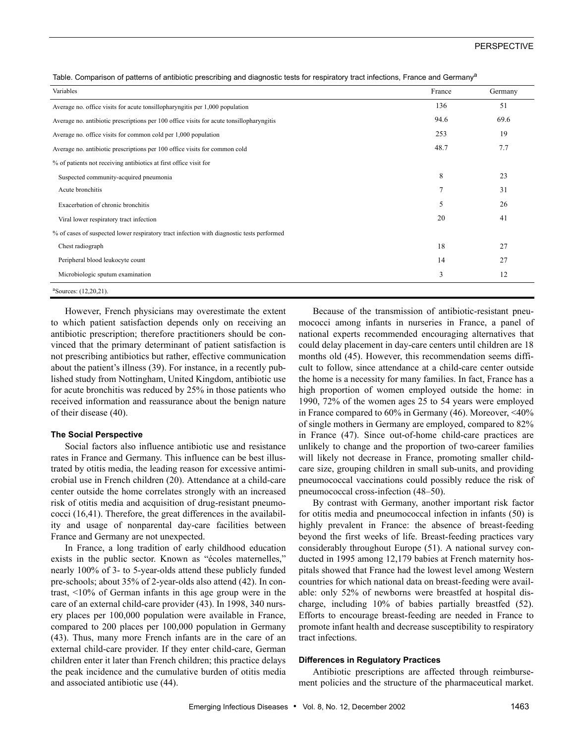| Variables                                                                                 | France         | Germany |
|-------------------------------------------------------------------------------------------|----------------|---------|
| Average no. office visits for acute tonsillopharyngitis per 1,000 population              | 136            | 51      |
| Average no. antibiotic prescriptions per 100 office visits for acute tonsillopharyngitis  | 94.6           | 69.6    |
| Average no. office visits for common cold per 1,000 population                            | 253            | 19      |
| Average no. antibiotic prescriptions per 100 office visits for common cold                | 48.7           | 7.7     |
| % of patients not receiving antibiotics at first office visit for                         |                |         |
| Suspected community-acquired pneumonia                                                    | 8              | 23      |
| Acute bronchitis                                                                          | $\overline{7}$ | 31      |
| Exacerbation of chronic bronchitis                                                        | 5              | 26      |
| Viral lower respiratory tract infection                                                   | 20             | 41      |
| % of cases of suspected lower respiratory tract infection with diagnostic tests performed |                |         |
| Chest radiograph                                                                          | 18             | 27      |
| Peripheral blood leukocyte count                                                          | 14             | 27      |
| Microbiologic sputum examination                                                          | 3              | 12      |
| $a$ Sources: $(12,20,21)$ .                                                               |                |         |

Table. Comparison of patterns of antibiotic prescribing and diagnostic tests for respiratory tract infections, France and Germany<sup>a</sup>

However, French physicians may overestimate the extent to which patient satisfaction depends only on receiving an antibiotic prescription; therefore practitioners should be convinced that the primary determinant of patient satisfaction is not prescribing antibiotics but rather, effective communication about the patient's illness (39). For instance, in a recently published study from Nottingham, United Kingdom, antibiotic use for acute bronchitis was reduced by 25% in those patients who received information and reassurance about the benign nature of their disease (40).

#### **The Social Perspective**

Social factors also influence antibiotic use and resistance rates in France and Germany. This influence can be best illustrated by otitis media, the leading reason for excessive antimicrobial use in French children (20). Attendance at a child-care center outside the home correlates strongly with an increased risk of otitis media and acquisition of drug-resistant pneumococci (16,41). Therefore, the great differences in the availability and usage of nonparental day-care facilities between France and Germany are not unexpected.

In France, a long tradition of early childhood education exists in the public sector. Known as "écoles maternelles," nearly 100% of 3- to 5-year-olds attend these publicly funded pre-schools; about 35% of 2-year-olds also attend (42). In contrast, <10% of German infants in this age group were in the care of an external child-care provider (43). In 1998, 340 nursery places per 100,000 population were available in France, compared to 200 places per 100,000 population in Germany (43). Thus, many more French infants are in the care of an external child-care provider. If they enter child-care, German children enter it later than French children; this practice delays the peak incidence and the cumulative burden of otitis media and associated antibiotic use (44).

Because of the transmission of antibiotic-resistant pneumococci among infants in nurseries in France, a panel of national experts recommended encouraging alternatives that could delay placement in day-care centers until children are 18 months old (45). However, this recommendation seems difficult to follow, since attendance at a child-care center outside the home is a necessity for many families. In fact, France has a high proportion of women employed outside the home: in 1990, 72% of the women ages 25 to 54 years were employed in France compared to 60% in Germany (46). Moreover, <40% of single mothers in Germany are employed, compared to 82% in France (47). Since out-of-home child-care practices are unlikely to change and the proportion of two-career families will likely not decrease in France, promoting smaller childcare size, grouping children in small sub-units, and providing pneumococcal vaccinations could possibly reduce the risk of pneumococcal cross-infection (48–50).

By contrast with Germany, another important risk factor for otitis media and pneumococcal infection in infants (50) is highly prevalent in France: the absence of breast-feeding beyond the first weeks of life. Breast-feeding practices vary considerably throughout Europe (51). A national survey conducted in 1995 among 12,179 babies at French maternity hospitals showed that France had the lowest level among Western countries for which national data on breast-feeding were available: only 52% of newborns were breastfed at hospital discharge, including 10% of babies partially breastfed (52). Efforts to encourage breast-feeding are needed in France to promote infant health and decrease susceptibility to respiratory tract infections.

#### **Differences in Regulatory Practices**

Antibiotic prescriptions are affected through reimbursement policies and the structure of the pharmaceutical market.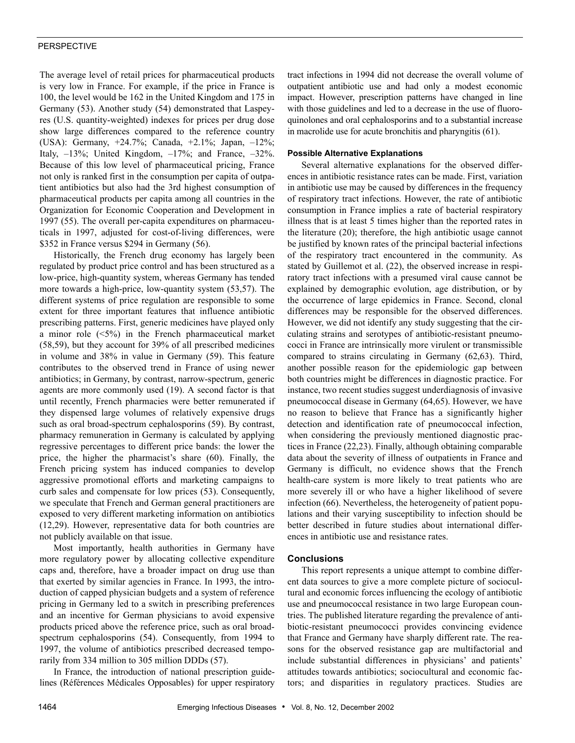The average level of retail prices for pharmaceutical products is very low in France. For example, if the price in France is 100, the level would be 162 in the United Kingdom and 175 in Germany (53). Another study (54) demonstrated that Laspeyres (U.S. quantity-weighted) indexes for prices per drug dose show large differences compared to the reference country (USA): Germany, +24.7%; Canada, +2.1%; Japan, –12%; Italy, –13%; United Kingdom, –17%; and France, –32%. Because of this low level of pharmaceutical pricing, France not only is ranked first in the consumption per capita of outpatient antibiotics but also had the 3rd highest consumption of pharmaceutical products per capita among all countries in the Organization for Economic Cooperation and Development in 1997 (55). The overall per-capita expenditures on pharmaceuticals in 1997, adjusted for cost-of-living differences, were \$352 in France versus \$294 in Germany (56).

Historically, the French drug economy has largely been regulated by product price control and has been structured as a low-price, high-quantity system, whereas Germany has tended more towards a high-price, low-quantity system (53,57). The different systems of price regulation are responsible to some extent for three important features that influence antibiotic prescribing patterns. First, generic medicines have played only a minor role (<5%) in the French pharmaceutical market (58,59), but they account for 39% of all prescribed medicines in volume and 38% in value in Germany (59). This feature contributes to the observed trend in France of using newer antibiotics; in Germany, by contrast, narrow-spectrum, generic agents are more commonly used (19). A second factor is that until recently, French pharmacies were better remunerated if they dispensed large volumes of relatively expensive drugs such as oral broad-spectrum cephalosporins (59). By contrast, pharmacy remuneration in Germany is calculated by applying regressive percentages to different price bands: the lower the price, the higher the pharmacist's share (60). Finally, the French pricing system has induced companies to develop aggressive promotional efforts and marketing campaigns to curb sales and compensate for low prices (53). Consequently, we speculate that French and German general practitioners are exposed to very different marketing information on antibiotics (12,29). However, representative data for both countries are not publicly available on that issue.

Most importantly, health authorities in Germany have more regulatory power by allocating collective expenditure caps and, therefore, have a broader impact on drug use than that exerted by similar agencies in France. In 1993, the introduction of capped physician budgets and a system of reference pricing in Germany led to a switch in prescribing preferences and an incentive for German physicians to avoid expensive products priced above the reference price, such as oral broadspectrum cephalosporins  $(54)$ . Consequently, from 1994 to 1997, the volume of antibiotics prescribed decreased temporarily from 334 million to 305 million DDDs (57).

In France, the introduction of national prescription guidelines (Références Médicales Opposables) for upper respiratory tract infections in 1994 did not decrease the overall volume of outpatient antibiotic use and had only a modest economic impact. However, prescription patterns have changed in line with those guidelines and led to a decrease in the use of fluoroquinolones and oral cephalosporins and to a substantial increase in macrolide use for acute bronchitis and pharyngitis (61).

# **Possible Alternative Explanations**

Several alternative explanations for the observed differences in antibiotic resistance rates can be made. First, variation in antibiotic use may be caused by differences in the frequency of respiratory tract infections. However, the rate of antibiotic consumption in France implies a rate of bacterial respiratory illness that is at least 5 times higher than the reported rates in the literature (20); therefore, the high antibiotic usage cannot be justified by known rates of the principal bacterial infections of the respiratory tract encountered in the community. As stated by Guillemot et al. (22), the observed increase in respiratory tract infections with a presumed viral cause cannot be explained by demographic evolution, age distribution, or by the occurrence of large epidemics in France. Second, clonal differences may be responsible for the observed differences. However, we did not identify any study suggesting that the circulating strains and serotypes of antibiotic-resistant pneumococci in France are intrinsically more virulent or transmissible compared to strains circulating in Germany (62,63). Third, another possible reason for the epidemiologic gap between both countries might be differences in diagnostic practice. For instance, two recent studies suggest underdiagnosis of invasive pneumococcal disease in Germany (64,65). However, we have no reason to believe that France has a significantly higher detection and identification rate of pneumococcal infection, when considering the previously mentioned diagnostic practices in France (22,23). Finally, although obtaining comparable data about the severity of illness of outpatients in France and Germany is difficult, no evidence shows that the French health-care system is more likely to treat patients who are more severely ill or who have a higher likelihood of severe infection (66). Nevertheless, the heterogeneity of patient populations and their varying susceptibility to infection should be better described in future studies about international differences in antibiotic use and resistance rates.

#### **Conclusions**

This report represents a unique attempt to combine different data sources to give a more complete picture of sociocultural and economic forces influencing the ecology of antibiotic use and pneumococcal resistance in two large European countries. The published literature regarding the prevalence of antibiotic-resistant pneumococci provides convincing evidence that France and Germany have sharply different rate. The reasons for the observed resistance gap are multifactorial and include substantial differences in physicians' and patients' attitudes towards antibiotics; sociocultural and economic factors; and disparities in regulatory practices. Studies are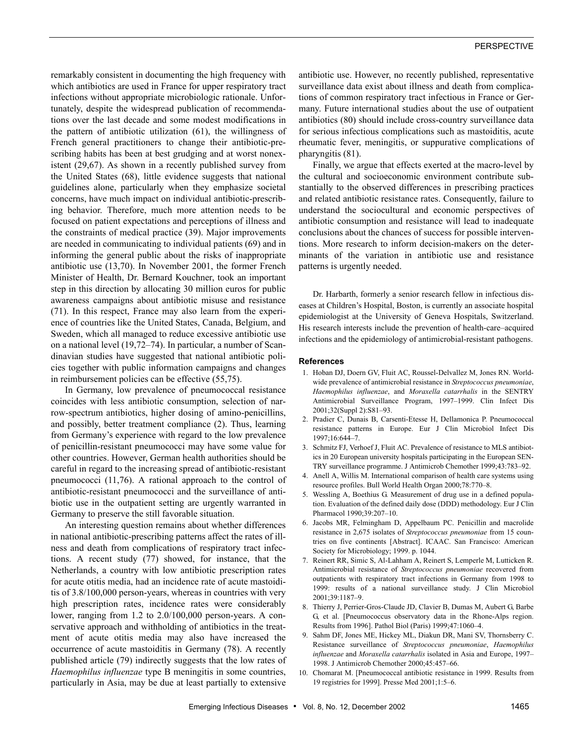remarkably consistent in documenting the high frequency with which antibiotics are used in France for upper respiratory tract infections without appropriate microbiologic rationale. Unfortunately, despite the widespread publication of recommendations over the last decade and some modest modifications in the pattern of antibiotic utilization (61), the willingness of French general practitioners to change their antibiotic-prescribing habits has been at best grudging and at worst nonexistent (29,67). As shown in a recently published survey from the United States (68), little evidence suggests that national guidelines alone, particularly when they emphasize societal concerns, have much impact on individual antibiotic-prescribing behavior. Therefore, much more attention needs to be focused on patient expectations and perceptions of illness and the constraints of medical practice (39). Major improvements are needed in communicating to individual patients (69) and in informing the general public about the risks of inappropriate antibiotic use (13,70). In November 2001, the former French Minister of Health, Dr. Bernard Kouchner, took an important step in this direction by allocating 30 million euros for public awareness campaigns about antibiotic misuse and resistance (71). In this respect, France may also learn from the experience of countries like the United States, Canada, Belgium, and Sweden, which all managed to reduce excessive antibiotic use on a national level (19,72–74). In particular, a number of Scandinavian studies have suggested that national antibiotic policies together with public information campaigns and changes in reimbursement policies can be effective (55,75).

In Germany, low prevalence of pneumococcal resistance coincides with less antibiotic consumption, selection of narrow-spectrum antibiotics, higher dosing of amino-penicillins, and possibly, better treatment compliance (2). Thus, learning from Germany's experience with regard to the low prevalence of penicillin-resistant pneumococci may have some value for other countries. However, German health authorities should be careful in regard to the increasing spread of antibiotic-resistant pneumococci (11,76). A rational approach to the control of antibiotic-resistant pneumococci and the surveillance of antibiotic use in the outpatient setting are urgently warranted in Germany to preserve the still favorable situation.

An interesting question remains about whether differences in national antibiotic-prescribing patterns affect the rates of illness and death from complications of respiratory tract infections. A recent study (77) showed, for instance, that the Netherlands, a country with low antibiotic prescription rates for acute otitis media, had an incidence rate of acute mastoiditis of 3.8/100,000 person-years, whereas in countries with very high prescription rates, incidence rates were considerably lower, ranging from 1.2 to 2.0/100,000 person-years. A conservative approach and withholding of antibiotics in the treatment of acute otitis media may also have increased the occurrence of acute mastoiditis in Germany (78). A recently published article (79) indirectly suggests that the low rates of *Haemophilus influenzae* type B meningitis in some countries, particularly in Asia, may be due at least partially to extensive antibiotic use. However, no recently published, representative surveillance data exist about illness and death from complications of common respiratory tract infectious in France or Germany. Future international studies about the use of outpatient antibiotics (80) should include cross-country surveillance data for serious infectious complications such as mastoiditis, acute rheumatic fever, meningitis, or suppurative complications of pharyngitis (81).

Finally, we argue that effects exerted at the macro-level by the cultural and socioeconomic environment contribute substantially to the observed differences in prescribing practices and related antibiotic resistance rates. Consequently, failure to understand the sociocultural and economic perspectives of antibiotic consumption and resistance will lead to inadequate conclusions about the chances of success for possible interventions. More research to inform decision-makers on the determinants of the variation in antibiotic use and resistance patterns is urgently needed.

Dr. Harbarth, formerly a senior research fellow in infectious diseases at Children's Hospital, Boston, is currently an associate hospital epidemiologist at the University of Geneva Hospitals, Switzerland. His research interests include the prevention of health-care–acquired infections and the epidemiology of antimicrobial-resistant pathogens.

#### **References**

- 1. Hoban DJ, Doern GV, Fluit AC, Roussel-Delvallez M, Jones RN. Worldwide prevalence of antimicrobial resistance in *Streptococcus pneumoniae*, *Haemophilus influenzae*, and *Moraxella catarrhalis* in the SENTRY Antimicrobial Surveillance Program, 1997–1999. Clin Infect Dis 2001;32(Suppl 2):S81–93.
- 2. Pradier C, Dunais B, Carsenti-Etesse H, Dellamonica P. Pneumococcal resistance patterns in Europe. Eur J Clin Microbiol Infect Dis 1997;16:644–7.
- 3. Schmitz FJ, Verhoef J, Fluit AC. Prevalence of resistance to MLS antibiotics in 20 European university hospitals participating in the European SEN-TRY surveillance programme. J Antimicrob Chemother 1999;43:783–92.
- 4. Anell A, Willis M. International comparison of health care systems using resource profiles. Bull World Health Organ 2000;78:770–8.
- 5. Wessling A, Boethius G. Measurement of drug use in a defined population. Evaluation of the defined daily dose (DDD) methodology. Eur J Clin Pharmacol 1990;39:207–10.
- 6. Jacobs MR, Felmingham D, Appelbaum PC. Penicillin and macrolide resistance in 2,675 isolates of *Streptococcus pneumoniae* from 15 countries on five continents [Abstract]. ICAAC. San Francisco: American Society for Microbiology; 1999. p. 1044.
- 7. Reinert RR, Simic S, Al-Lahham A, Reinert S, Lemperle M, Lutticken R. Antimicrobial resistance of *Streptococcus pneumoniae* recovered from outpatients with respiratory tract infections in Germany from 1998 to 1999: results of a national surveillance study. J Clin Microbiol 2001;39:1187–9.
- 8. Thierry J, Perrier-Gros-Claude JD, Clavier B, Dumas M, Aubert G, Barbe G, et al. [Pneumococcus observatory data in the Rhone-Alps region. Results from 1996]. Pathol Biol (Paris) 1999;47:1060–4.
- 9. Sahm DF, Jones ME, Hickey ML, Diakun DR, Mani SV, Thornsberry C. Resistance surveillance of *Streptococcus pneumoniae*, *Haemophilus influenzae* and *Moraxella catarrhalis* isolated in Asia and Europe, 1997– 1998. J Antimicrob Chemother 2000;45:457–66.
- 10. Chomarat M. [Pneumococcal antibiotic resistance in 1999. Results from 19 registries for 1999]. Presse Med 2001;1:5–6.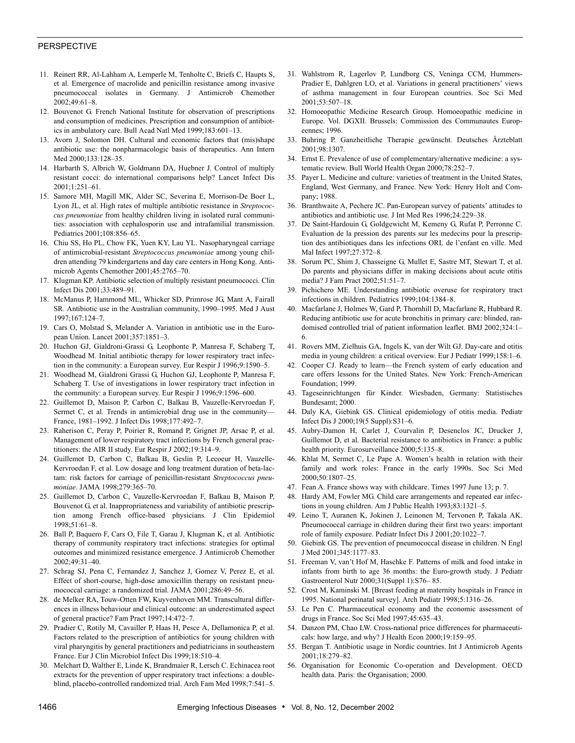- 11. Reinert RR, Al-Lahham A, Lemperle M, Tenholte C, Briefs C, Haupts S, et al. Emergence of macrolide and penicillin resistance among invasive pneumococcal isolates in Germany. J Antimicrob Chemother 2002;49:61–8.
- 12. Bouvenot G. French National Institute for observation of prescriptions and consumption of medicines. Prescription and consumption of antibiotics in ambulatory care. Bull Acad Natl Med 1999;183:601–13.
- 13. Avorn J, Solomon DH. Cultural and economic factors that (mis)shape antibiotic use: the nonpharmacologic basis of therapeutics. Ann Intern Med 2000;133:128–35.
- 14. Harbarth S, Albrich W, Goldmann DA, Huebner J. Control of multiply resistant cocci: do international comparisons help? Lancet Infect Dis 2001;1:251–61.
- 15. Samore MH, Magill MK, Alder SC, Severina E, Morrison-De Boer L, Lyon JL, et al. High rates of multiple antibiotic resistance in *Streptococcus pneumoniae* from healthy children living in isolated rural communities: association with cephalosporin use and intrafamilial transmission. Pediatrics 2001;108:856–65.
- 16. Chiu SS, Ho PL, Chow FK, Yuen KY, Lau YL. Nasopharyngeal carriage of antimicrobial-resistant *Streptococcus pneumoniae* among young children attending 79 kindergartens and day care centers in Hong Kong. Antimicrob Agents Chemother 2001;45:2765–70.
- 17. Klugman KP. Antibiotic selection of multiply resistant pneumococci. Clin Infect Dis 2001;33:489–91.
- 18. McManus P, Hammond ML, Whicker SD, Primrose JG, Mant A, Fairall SR. Antibiotic use in the Australian community, 1990–1995. Med J Aust 1997;167:124–7.
- 19. Cars O, Molstad S, Melander A. Variation in antibiotic use in the European Union. Lancet 2001;357:1851–3.
- 20. Huchon GJ, Gialdroni-Grassi G, Leophonte P, Manresa F, Schaberg T, Woodhead M. Initial antibiotic therapy for lower respiratory tract infection in the community: a European survey. Eur Respir J 1996;9:1590–5.
- 21. Woodhead M, Gialdroni Grassi G, Huchon GJ, Leophonte P, Manresa F, Schaberg T. Use of investigations in lower respiratory tract infection in the community: a European survey. Eur Respir J 1996;9:1596–600.
- 22. Guillemot D, Maison P, Carbon C, Balkau B, Vauzelle-Kervroedan F, Sermet C, et al. Trends in antimicrobial drug use in the community— France, 1981–1992. J Infect Dis 1998;177:492–7.
- 23. Raherison C, Peray P, Poirier R, Romand P, Grignet JP, Arsac P, et al. Management of lower respiratory tract infections by French general practitioners: the AIR II study. Eur Respir J 2002;19:314–9.
- 24. Guillemot D, Carbon C, Balkau B, Geslin P, Lecoeur H, Vauzelle-Kervroedan F, et al. Low dosage and long treatment duration of beta-lactam: risk factors for carriage of penicillin-resistant *Streptococcus pneumoniae*. JAMA 1998;279:365–70.
- 25. Guillemot D, Carbon C, Vauzelle-Kervroedan F, Balkau B, Maison P, Bouvenot G, et al. Inappropriateness and variability of antibiotic prescription among French office-based physicians. J Clin Epidemiol 1998;51:61–8.
- 26. Ball P, Baquero F, Cars O, File T, Garau J, Klugman K, et al. Antibiotic therapy of community respiratory tract infections: strategies for optimal outcomes and minimized resistance emergence. J Antimicrob Chemother 2002;49:31–40.
- 27. Schrag SJ, Pena C, Fernandez J, Sanchez J, Gomez V, Perez E, et al. Effect of short-course, high-dose amoxicillin therapy on resistant pneumococcal carriage: a randomized trial. JAMA 2001;286:49–56.
- 28. de Melker RA, Touw-Otten FW, Kuyvenhoven MM. Transcultural differences in illness behaviour and clinical outcome: an underestimated aspect of general practice? Fam Pract 1997;14:472–7.
- 29. Pradier C, Rotily M, Cavailler P, Haas H, Pesce A, Dellamonica P, et al. Factors related to the prescription of antibiotics for young children with viral pharyngitis by general practitioners and pediatricians in southeastern France. Eur J Clin Microbiol Infect Dis 1999;18:510–4.
- 30. Melchart D, Walther E, Linde K, Brandmaier R, Lersch C. Echinacea root extracts for the prevention of upper respiratory tract infections: a doubleblind, placebo-controlled randomized trial. Arch Fam Med 1998;7:541–5.
- 31. Wahlstrom R, Lagerlov P, Lundborg CS, Veninga CCM, Hummers-Pradier E, Dahlgren LO, et al. Variations in general practitioners' views of asthma management in four European countries. Soc Sci Med 2001;53:507–18.
- 32. Homoeopathic Medicine Research Group. Homoeopathic medicine in Europe. Vol. DGXII. Brussels: Commission des Communautes Europeennes; 1996.
- 33. Buhring P. Ganzheitliche Therapie gewünscht. Deutsches Ärzteblatt 2001;98:1307.
- 34. Ernst E. Prevalence of use of complementary/alternative medicine: a systematic review. Bull World Health Organ 2000;78:252–7.
- 35. Payer L. Medicine and culture: varieties of treatment in the United States, England, West Germany, and France. New York: Henry Holt and Company; 1988.
- 36. Branthwaite A, Pechere JC. Pan-European survey of patients' attitudes to antibiotics and antibiotic use. J Int Med Res 1996;24:229–38.
- 37. De Saint-Hardouin G, Goldgewicht M, Kemeny G, Rufat P, Perronne C. Evaluation de la pression des parents sur les medecins pour la prescription des antibiotiques dans les infections ORL de l'enfant en ville. Med Mal Infect 1997;27:372–8.
- 38. Sorum PC, Shim J, Chasseigne G, Mullet E, Sastre MT, Stewart T, et al. Do parents and physicians differ in making decisions about acute otitis media? J Fam Pract 2002;51:51–7.
- 39. Pichichero ME. Understanding antibiotic overuse for respiratory tract infections in children. Pediatrics 1999;104:1384–8.
- 40. Macfarlane J, Holmes W, Gard P, Thornhill D, Macfarlane R, Hubbard R. Reducing antibiotic use for acute bronchitis in primary care: blinded, randomised controlled trial of patient information leaflet. BMJ 2002;324:1– 6.
- 41. Rovers MM, Zielhuis GA, Ingels K, van der Wilt GJ. Day-care and otitis media in young children: a critical overview. Eur J Pediatr 1999;158:1–6.
- 42. Cooper CJ. Ready to learn—the French system of early education and care offers lessons for the United States. New York: French-American Foundation; 1999.
- 43. Tageseinrichtungen für Kinder. Wiesbaden, Germany: Statistisches Bundesamt; 2000.
- 44. Daly KA, Giebink GS. Clinical epidemiology of otitis media. Pediatr Infect Dis J 2000;19(5 Suppl):S31–6.
- 45. Aubry-Damon H, Carlet J, Courvalin P, Desenclos JC, Drucker J, Guillemot D, et al. Bacterial resistance to antibiotics in France: a public health priority. Eurosurveillance 2000;5:135–8.
- 46. Khlat M, Sermet C, Le Pape A. Women's health in relation with their family and work roles: France in the early 1990s. Soc Sci Med 2000;50:1807–25.
- 47. Fean A. France shows way with childcare. Times 1997 June 13; p. 7.
- 48. Hardy AM, Fowler MG. Child care arrangements and repeated ear infections in young children. Am J Public Health 1993;83:1321–5.
- 49. Leino T, Auranen K, Jokinen J, Leinonen M, Tervonen P, Takala AK. Pneumococcal carriage in children during their first two years: important role of family exposure. Pediatr Infect Dis J 2001;20:1022–7.
- 50. Giebink GS. The prevention of pneumococcal disease in children. N Engl J Med 2001;345:1177–83.
- 51. Freeman V, van't Hof M, Haschke F. Patterns of milk and food intake in infants from birth to age 36 months: the Euro-growth study. J Pediatr Gastroenterol Nutr 2000;31(Suppl 1):S76– 85.
- 52. Crost M, Kaminski M. [Breast feeding at maternity hospitals in France in 1995. National perinatal survey]. Arch Pediatr 1998;5:1316–26.
- 53. Le Pen C. Pharmaceutical economy and the economic assessment of drugs in France. Soc Sci Med 1997;45:635–43.
- 54. Danzon PM, Chao LW. Cross-national price differences for pharmaceuticals: how large, and why? J Health Econ 2000;19:159–95.
- 55. Bergan T. Antibiotic usage in Nordic countries. Int J Antimicrob Agents 2001;18:279–82.
- 56. Organisation for Economic Co-operation and Development. OECD health data. Paris: the Organisation; 2000.